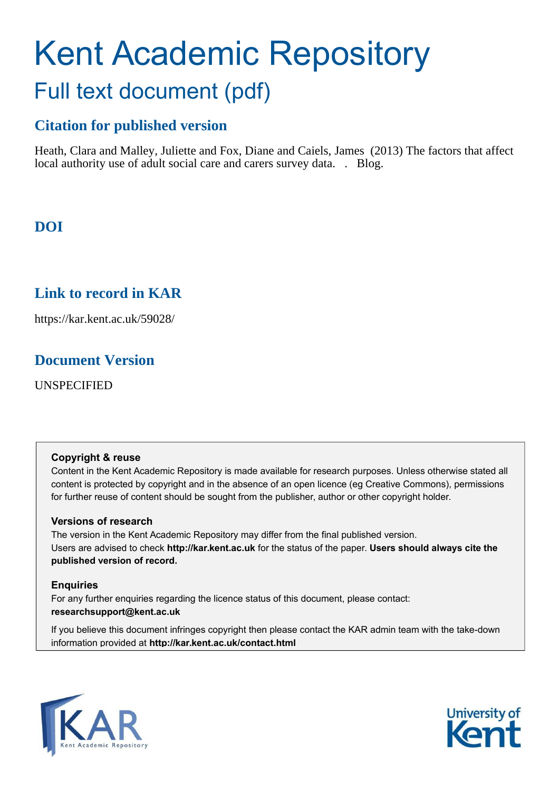# Kent Academic Repository Full text document (pdf)

# **Citation for published version**

Heath, Clara and Malley, Juliette and Fox, Diane and Caiels, James (2013) The factors that affect local authority use of adult social care and carers survey data. . Blog.

# **DOI**

# **Link to record in KAR**

https://kar.kent.ac.uk/59028/

# **Document Version**

UNSPECIFIED

## **Copyright & reuse**

Content in the Kent Academic Repository is made available for research purposes. Unless otherwise stated all content is protected by copyright and in the absence of an open licence (eg Creative Commons), permissions for further reuse of content should be sought from the publisher, author or other copyright holder.

## **Versions of research**

The version in the Kent Academic Repository may differ from the final published version. Users are advised to check **http://kar.kent.ac.uk** for the status of the paper. **Users should always cite the published version of record.**

## **Enquiries**

For any further enquiries regarding the licence status of this document, please contact: **researchsupport@kent.ac.uk**

If you believe this document infringes copyright then please contact the KAR admin team with the take-down information provided at **http://kar.kent.ac.uk/contact.html**



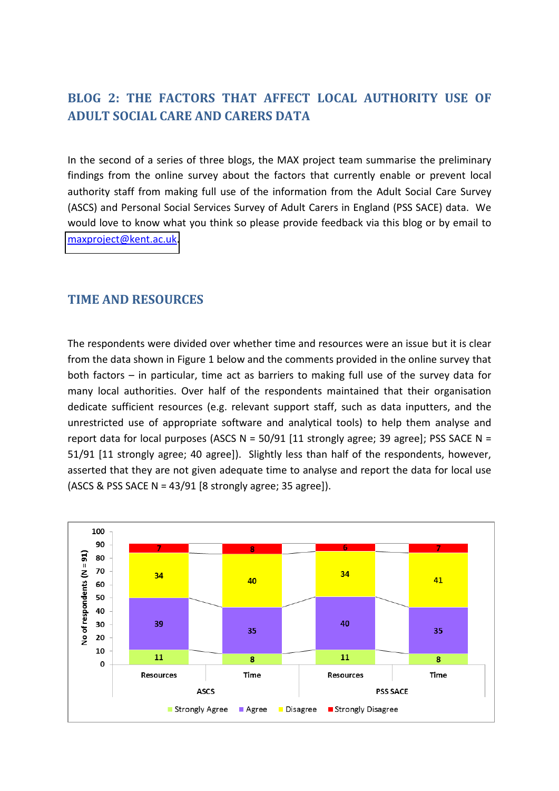# **BLOG 2: THE FACTORS THAT AFFECT LOCAL AUTHORITY USE OF ADULT SOCIAL CARE AND CARERS DATA**

In the second of a series of three blogs, the MAX project team summarise the preliminary findings from the online survey about the factors that currently enable or prevent local authority staff from making full use of the information from the Adult Social Care Survey (ASCS) and Personal Social Services Survey of Adult Carers in England (PSS SACE) data. We would love to know what you think so please provide feedback via this blog or by email to [maxproject@kent.ac.uk.](mailto:maxproject@kent.ac.uk)

# **TIME AND RESOURCES**

The respondents were divided over whether time and resources were an issue but it is clear from the data shown in Figure 1 below and the comments provided in the online survey that both factors  $-$  in particular, time act as barriers to making full use of the survey data for many local authorities. Over half of the respondents maintained that their organisation dedicate sufficient resources (e.g. relevant support staff, such as data inputters, and the unrestricted use of appropriate software and analytical tools) to help them analyse and report data for local purposes (ASCS  $N = 50/91$  [11 strongly agree; 39 agree]; PSS SACE  $N =$ 51/91 [11 strongly agree; 40 agree]). Slightly less than half of the respondents, however, asserted that they are not given adequate time to analyse and report the data for local use (ASCS & PSS SACE N =  $43/91$  [8 strongly agree; 35 agree]).

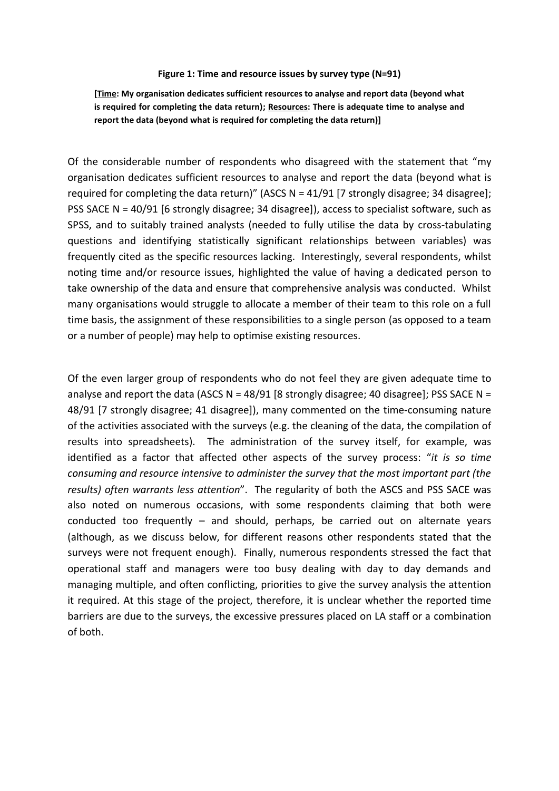#### **Figure 1: Time and resource issues by survey type (N=91)**

**[Time: My organisation dedicates sufficient resources to analyse and report data (beyond what is required for completing the data return); Resources: There is adequate time to analyse and report the data (beyond what is required for completing the data return)]** 

Of the considerable number of respondents who disagreed with the statement that "my organisation dedicates sufficient resources to analyse and report the data (beyond what is required for completing the data return)" (ASCS  $N = 41/91$  [7 strongly disagree; 34 disagree]; PSS SACE N = 40/91 [6 strongly disagree; 34 disagree]), access to specialist software, such as SPSS, and to suitably trained analysts (needed to fully utilise the data by cross-tabulating questions and identifying statistically significant relationships between variables) was frequently cited as the specific resources lacking. Interestingly, several respondents, whilst noting time and/or resource issues, highlighted the value of having a dedicated person to take ownership of the data and ensure that comprehensive analysis was conducted. Whilst many organisations would struggle to allocate a member of their team to this role on a full time basis, the assignment of these responsibilities to a single person (as opposed to a team or a number of people) may help to optimise existing resources.

Of the even larger group of respondents who do not feel they are given adequate time to analyse and report the data (ASCS N =  $48/91$  [8 strongly disagree; 40 disagree]; PSS SACE N = 48/91 [7 strongly disagree; 41 disagree]), many commented on the time-consuming nature of the activities associated with the surveys (e.g. the cleaning of the data, the compilation of results into spreadsheets). The administration of the survey itself, for example, was identified as a factor that affected other aspects of the survey process: "it is so time *consuming and resource intensive to administer the survey that the most important part (the*  results) often warrants less attention". The regularity of both the ASCS and PSS SACE was also noted on numerous occasions, with some respondents claiming that both were conducted too frequently  $-$  and should, perhaps, be carried out on alternate years (although, as we discuss below, for different reasons other respondents stated that the surveys were not frequent enough). Finally, numerous respondents stressed the fact that operational staff and managers were too busy dealing with day to day demands and managing multiple, and often conflicting, priorities to give the survey analysis the attention it required. At this stage of the project, therefore, it is unclear whether the reported time barriers are due to the surveys, the excessive pressures placed on LA staff or a combination of both.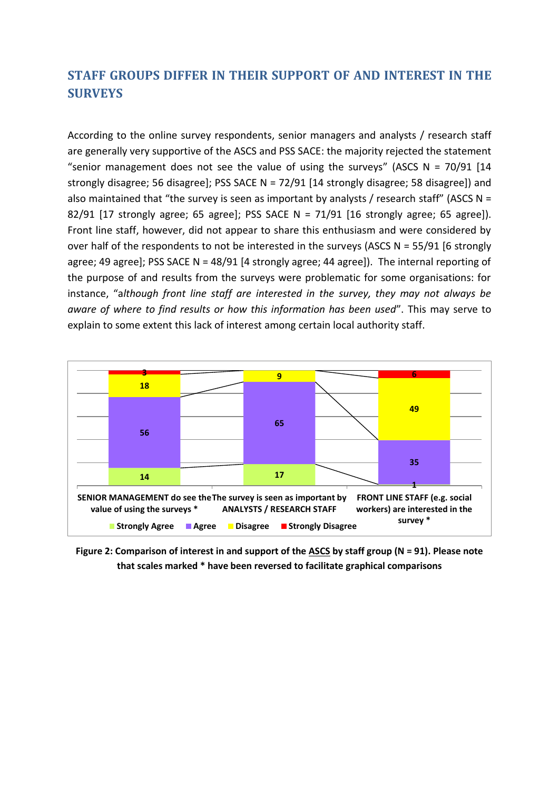# **STAFF GROUPS DIFFER IN THEIR SUPPORT OF AND INTEREST IN THE SURVEYS**

According to the online survey respondents, senior managers and analysts / research staff are generally very supportive of the ASCS and PSS SACE: the majority rejected the statement "senior management does not see the value of using the surveys" (ASCS N = 70/91 [14 strongly disagree; 56 disagree]; PSS SACE N = 72/91 [14 strongly disagree; 58 disagree]) and also maintained that "the survey is seen as important by analysts / research staff" (ASCS N = 82/91 [17 strongly agree; 65 agree]; PSS SACE N =  $71/91$  [16 strongly agree; 65 agree]). Front line staff, however, did not appear to share this enthusiasm and were considered by over half of the respondents to not be interested in the surveys (ASCS  $N = 55/91$  [6 strongly agree; 49 agree]; PSS SACE N = 48/91 [4 strongly agree; 44 agree]). The internal reporting of the purpose of and results from the surveys were problematic for some organisations: for instance, "although front line staff are interested in the survey, they may not always be *aware of where to find results or how this information has been used"*. This may serve to explain to some extent this lack of interest among certain local authority staff.



**Figure 2: Comparison of interest in and support of the ASCS by staff group (N = 91). Please note that scales marked \* have been reversed to facilitate graphical comparisons**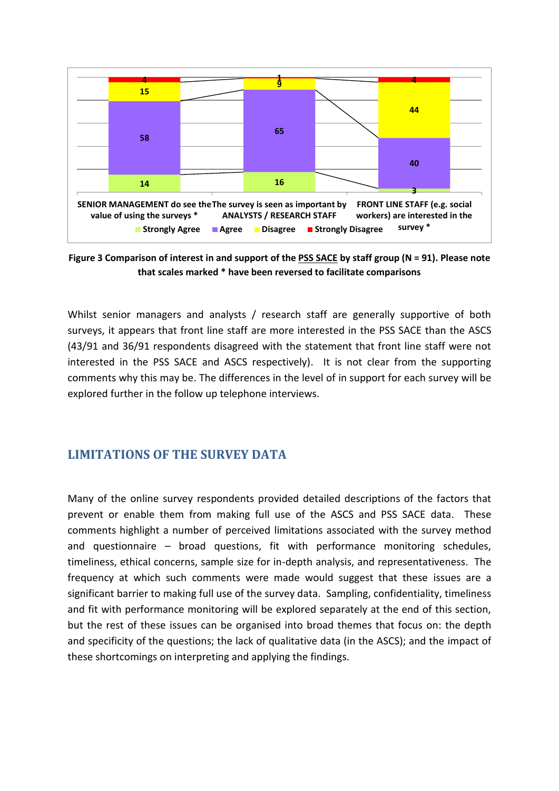

**Figure 3 Comparison of interest in and support of the PSS SACE by staff group (N = 91). Please note that scales marked \* have been reversed to facilitate comparisons** 

Whilst senior managers and analysts / research staff are generally supportive of both surveys, it appears that front line staff are more interested in the PSS SACE than the ASCS (43/91 and 36/91 respondents disagreed with the statement that front line staff were not interested in the PSS SACE and ASCS respectively). It is not clear from the supporting comments why this may be. The differences in the level of in support for each survey will be explored further in the follow up telephone interviews.

# **LIMITATIONS OF THE SURVEY DATA**

Many of the online survey respondents provided detailed descriptions of the factors that prevent or enable them from making full use of the ASCS and PSS SACE data. These comments highlight a number of perceived limitations associated with the survey method and questionnaire  $-$  broad questions, fit with performance monitoring schedules, timeliness, ethical concerns, sample size for in-depth analysis, and representativeness. The frequency at which such comments were made would suggest that these issues are a significant barrier to making full use of the survey data. Sampling, confidentiality, timeliness and fit with performance monitoring will be explored separately at the end of this section, but the rest of these issues can be organised into broad themes that focus on: the depth and specificity of the questions; the lack of qualitative data (in the ASCS); and the impact of these shortcomings on interpreting and applying the findings.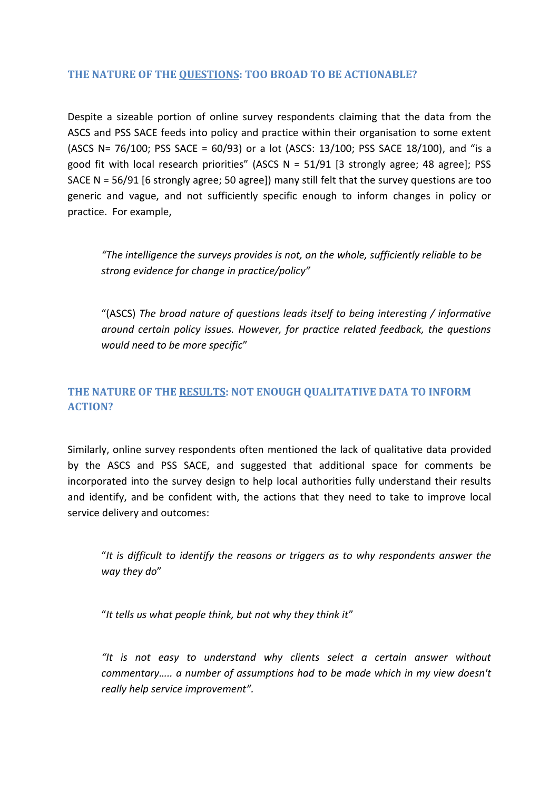## THE NATURE OF THE OUESTIONS: TOO BROAD TO BE ACTIONABLE?

Despite a sizeable portion of online survey respondents claiming that the data from the ASCS and PSS SACE feeds into policy and practice within their organisation to some extent (ASCS N= 76/100; PSS SACE = 60/93) or a lot (ASCS: 13/100; PSS SACE 18/100), and "is a good fit with local research priorities" (ASCS  $N = 51/91$  [3 strongly agree; 48 agree]; PSS SACE N = 56/91 [6 strongly agree; 50 agree]) many still felt that the survey questions are too generic and vague, and not sufficiently specific enough to inform changes in policy or practice. For example,

"The intelligence the surveys provides is not, on the whole, sufficiently reliable to be strong evidence for change in practice/policy"

"(ASCS) The broad nature of questions leads itself to being interesting / informative around certain policy issues. However, for practice related feedback, the questions would need to be more specific"

# THE NATURE OF THE RESULTS: NOT ENOUGH QUALITATIVE DATA TO INFORM **ACTION?**

Similarly, online survey respondents often mentioned the lack of qualitative data provided by the ASCS and PSS SACE, and suggested that additional space for comments be incorporated into the survey design to help local authorities fully understand their results and identify, and be confident with, the actions that they need to take to improve local service delivery and outcomes:

"It is difficult to identify the reasons or triggers as to why respondents answer the way they do"

"It tells us what people think, but not why they think it"

"It is not easy to understand why clients select a certain answer without commentary..... a number of assumptions had to be made which in my view doesn't really help service improvement".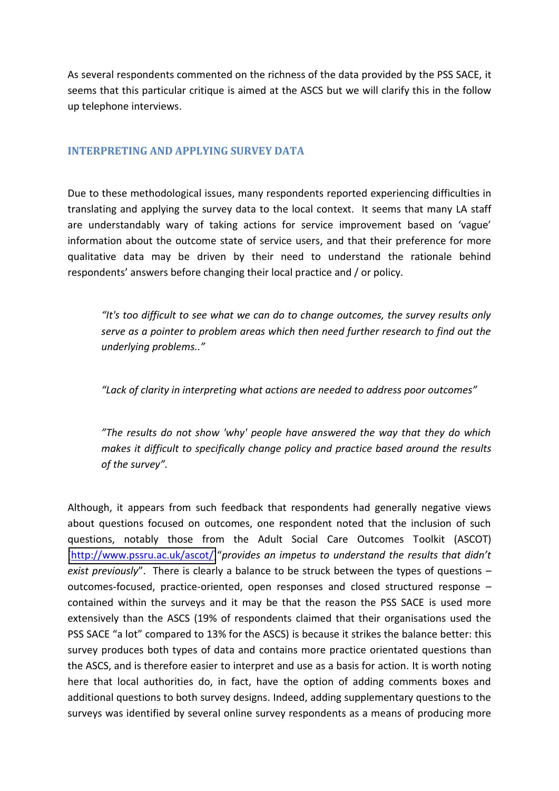As several respondents commented on the richness of the data provided by the PSS SACE, it seems that this particular critique is aimed at the ASCS but we will clarify this in the follow up telephone interviews.

## **INTERPRETING AND APPLYING SURVEY DATA**

Due to these methodological issues, many respondents reported experiencing difficulties in translating and applying the survey data to the local context. It seems that many LA staff are understandably wary of taking actions for service improvement based on 'vague' information about the outcome state of service users, and that their preference for more qualitative data may be driven by their need to understand the rationale behind respondents' answers before changing their local practice and / or policy.

*If is too difficult to see what we can do to change outcomes, the survey results only serve as a pointer to problem areas which then need further research to find out the underlying problems..ざ*

"Lack of clarity in interpreting what actions are needed to address poor outcomes"

"The results do not show 'why' people have answered the way that they do which *makes it difficult to specifically change policy and practice based around the results of the survey".* 

Although, it appears from such feedback that respondents had generally negative views about questions focused on outcomes, one respondent noted that the inclusion of such questions, notably those from the Adult Social Care Outcomes Toolkit (ASCOT) [\[http://www.pssru.ac.uk/ascot/\]](http://www.pssru.ac.uk/ascot/)"provides an impetus to understand the results that didn't *exist previously*". There is clearly a balance to be struck between the types of questions – outcomes-focused, practice-oriented, open responses and closed structured response – contained within the surveys and it may be that the reason the PSS SACE is used more extensively than the ASCS (19% of respondents claimed that their organisations used the PSS SACE "a lot" compared to 13% for the ASCS) is because it strikes the balance better: this survey produces both types of data and contains more practice orientated questions than the ASCS, and is therefore easier to interpret and use as a basis for action. It is worth noting here that local authorities do, in fact, have the option of adding comments boxes and additional questions to both survey designs. Indeed, adding supplementary questions to the surveys was identified by several online survey respondents as a means of producing more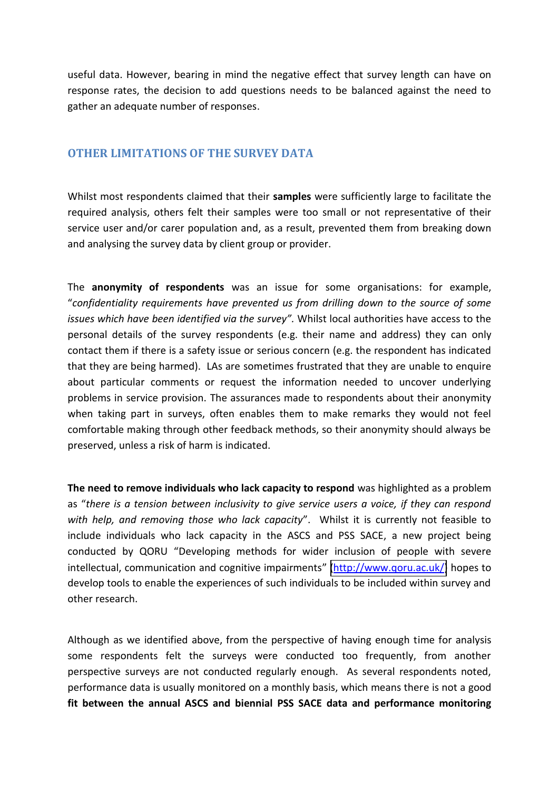useful data. However, bearing in mind the negative effect that survey length can have on response rates, the decision to add questions needs to be balanced against the need to gather an adequate number of responses.

## **OTHER LIMITATIONS OF THE SURVEY DATA**

Whilst most respondents claimed that their **samples** were sufficiently large to facilitate the required analysis, others felt their samples were too small or not representative of their service user and/or carer population and, as a result, prevented them from breaking down and analysing the survey data by client group or provider.

The **anonymity of respondents** was an issue for some organisations: for example, さ*confidentiality requirements have prevented us from drilling down to the source of some issues which have been identified via the survey"*. Whilst local authorities have access to the personal details of the survey respondents (e.g. their name and address) they can only contact them if there is a safety issue or serious concern (e.g. the respondent has indicated that they are being harmed). LAs are sometimes frustrated that they are unable to enquire about particular comments or request the information needed to uncover underlying problems in service provision. The assurances made to respondents about their anonymity when taking part in surveys, often enables them to make remarks they would not feel comfortable making through other feedback methods, so their anonymity should always be preserved, unless a risk of harm is indicated.

**The need to remove individuals who lack capacity to respond** was highlighted as a problem as "there is a tension between inclusivity to give service users a voice, if they can respond with help, and removing those who lack capacity". Whilst it is currently not feasible to include individuals who lack capacity in the ASCS and PSS SACE, a new project being conducted by QORU "Developing methods for wider inclusion of people with severe intellectual, communication and cognitive impairments" [\(http://www.qoru.ac.uk/\)](http://www.qoru.ac.uk/) hopes to develop tools to enable the experiences of such individuals to be included within survey and other research.

Although as we identified above, from the perspective of having enough time for analysis some respondents felt the surveys were conducted too frequently, from another perspective surveys are not conducted regularly enough. As several respondents noted, performance data is usually monitored on a monthly basis, which means there is not a good **fit between the annual ASCS and biennial PSS SACE data and performance monitoring**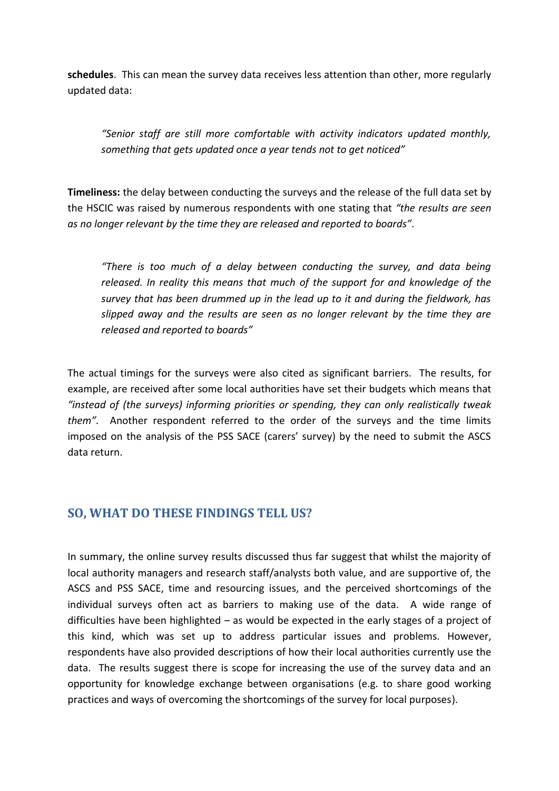**schedules**.This can mean the survey data receives less attention than other, more regularly updated data:

*さSenior staff are still more comfortable with activity indicators updated monthly, something that gets updated once a year tends not to get noticed"* 

**Timeliness:** the delay between conducting the surveys and the release of the full data set by the HSCIC was raised by numerous respondents with one stating that *"the results are seen* as no longer relevant by the time they are released and reported to boards".

*さThere is too much of a delay between conducting the survey, and data being released. In reality this means that much of the support for and knowledge of the survey that has been drummed up in the lead up to it and during the fieldwork, has slipped away and the results are seen as no longer relevant by the time they are released and reported to boardsざ*

The actual timings for the surveys were also cited as significant barriers. The results, for example, are received after some local authorities have set their budgets which means that "instead of (the surveys) informing priorities or spending, they can only realistically tweak them". Another respondent referred to the order of the surveys and the time limits imposed on the analysis of the PSS SACE (carers' survey) by the need to submit the ASCS data return.

# **SO, WHAT DO THESE FINDINGS TELL US?**

In summary, the online survey results discussed thus far suggest that whilst the majority of local authority managers and research staff/analysts both value, and are supportive of, the ASCS and PSS SACE, time and resourcing issues, and the perceived shortcomings of the individual surveys often act as barriers to making use of the data. A wide range of difficulties have been highlighted  $-$  as would be expected in the early stages of a project of this kind, which was set up to address particular issues and problems. However, respondents have also provided descriptions of how their local authorities currently use the data. The results suggest there is scope for increasing the use of the survey data and an opportunity for knowledge exchange between organisations (e.g. to share good working practices and ways of overcoming the shortcomings of the survey for local purposes).